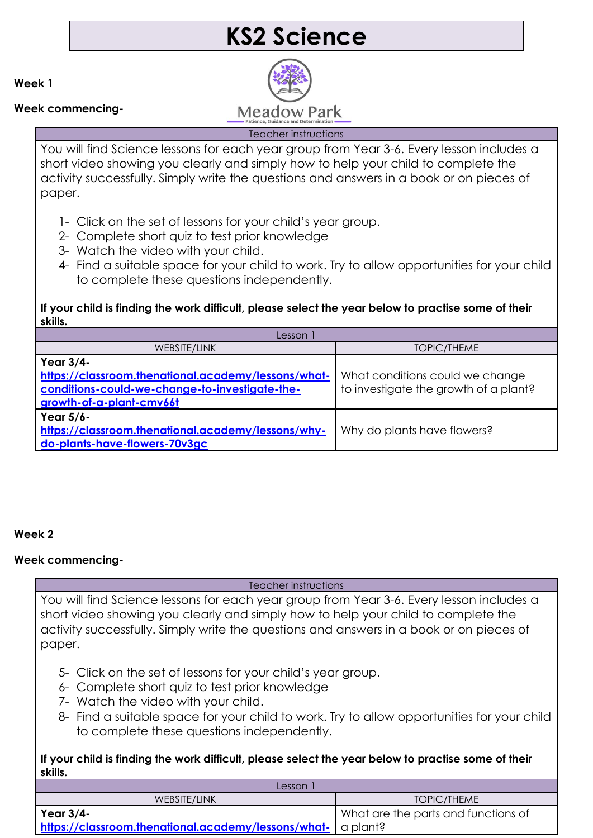# **KS2 Science**

**Week 1**

### **Week commencing-**



#### Teacher instructions

You will find Science lessons for each year group from Year 3-6. Every lesson includes a short video showing you clearly and simply how to help your child to complete the activity successfully. Simply write the questions and answers in a book or on pieces of paper.

- 1- Click on the set of lessons for your child's year group.
- 2- Complete short quiz to test prior knowledge
- 3- Watch the video with your child.
- 4- Find a suitable space for your child to work. Try to allow opportunities for your child to complete these questions independently.

### **If your child is finding the work difficult, please select the year below to practise some of their skills.**

| Lesson i                                                                                                                                       |                                                                          |
|------------------------------------------------------------------------------------------------------------------------------------------------|--------------------------------------------------------------------------|
| WEBSITE/LINK                                                                                                                                   | <b>TOPIC/THEME</b>                                                       |
| Year 3/4-<br>https://classroom.thenational.academy/lessons/what-<br>conditions-could-we-change-to-investigate-the-<br>growth-of-a-plant-cmv66t | What conditions could we change<br>to investigate the growth of a plant? |
| Year 5/6-<br>https://classroom.thenational.academy/lessons/why-<br>do-plants-have-flowers-70v3gc                                               | Why do plants have flowers?                                              |

#### **Week 2**

## **Week commencing-**

#### Teacher instructions

You will find Science lessons for each year group from Year 3-6. Every lesson includes a short video showing you clearly and simply how to help your child to complete the activity successfully. Simply write the questions and answers in a book or on pieces of paper.

- 5- Click on the set of lessons for your child's year group.
- 6- Complete short quiz to test prior knowledge
- 7- Watch the video with your child.
- 8- Find a suitable space for your child to work. Try to allow opportunities for your child to complete these questions independently.

#### **If your child is finding the work difficult, please select the year below to practise some of their skills.**

| Lesson                                                       |                                     |
|--------------------------------------------------------------|-------------------------------------|
| WEBSITE/LINK                                                 | TOPIC/THEME                         |
| Year $3/4$ -                                                 | What are the parts and functions of |
| https://classroom.thenational.academy/lessons/what- a plant? |                                     |